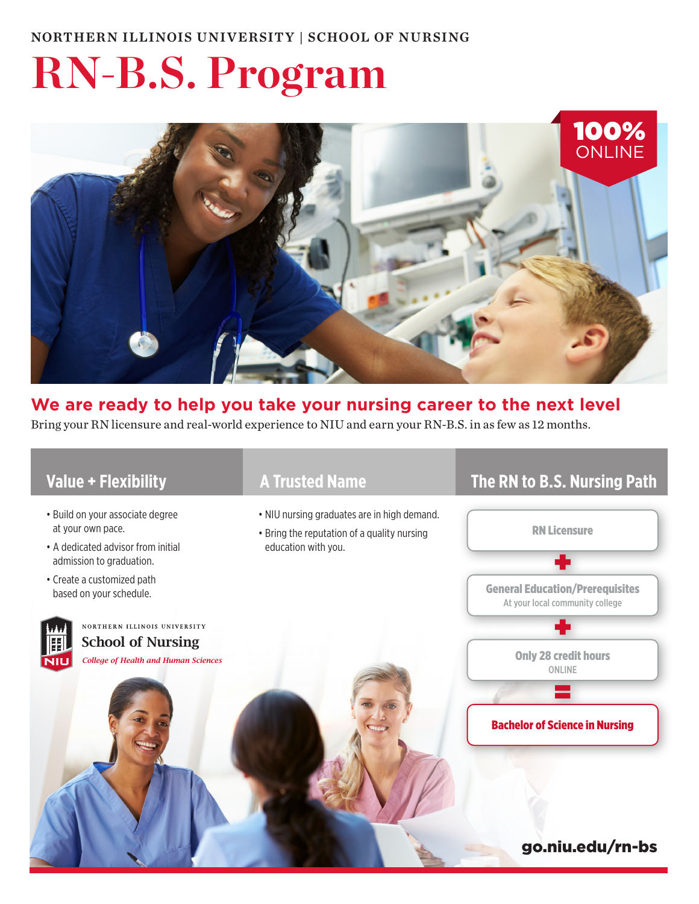# **RN-B.S. Program**



### **We are ready to help you take your nursing career to the next level** Bring your RN licensure and real-world experience to NIU and earn your RN-B.S. in as few as 12 months.